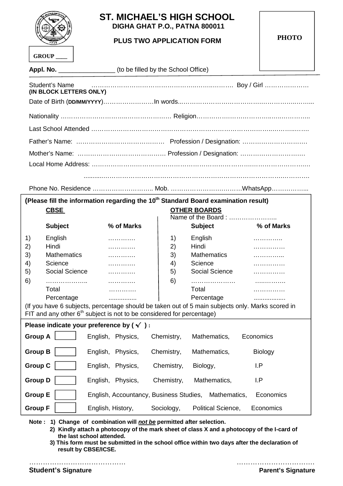| <b>MCHAELS HOW ACHOO</b><br>ø<br>858 |
|--------------------------------------|
| <b>GROUP</b>                         |

Appl. No. \_\_\_\_\_

## **ST. MICHAEL'S HIGH SCHOOL DIGHA GHAT P.O., PATNA 800011**

## **PLUS TWO APPLICATION FORM**

**PHOTO**

| _ (to be filled by the School Office) |
|---------------------------------------|
|---------------------------------------|

| (IN BLOCK LETTERS ONLY)                                                                        | Student's Name <b>contract to the contract of the contract of the contract of the contract of the contract of the contract of the contract of the contract of the contract of the contract of the contract of the contract of th</b> |  |  |  |  |
|------------------------------------------------------------------------------------------------|--------------------------------------------------------------------------------------------------------------------------------------------------------------------------------------------------------------------------------------|--|--|--|--|
|                                                                                                |                                                                                                                                                                                                                                      |  |  |  |  |
|                                                                                                |                                                                                                                                                                                                                                      |  |  |  |  |
|                                                                                                |                                                                                                                                                                                                                                      |  |  |  |  |
|                                                                                                |                                                                                                                                                                                                                                      |  |  |  |  |
|                                                                                                |                                                                                                                                                                                                                                      |  |  |  |  |
|                                                                                                |                                                                                                                                                                                                                                      |  |  |  |  |
|                                                                                                |                                                                                                                                                                                                                                      |  |  |  |  |
| (Please fill the information regarding the 10 <sup>th</sup> Standard Board examination result) |                                                                                                                                                                                                                                      |  |  |  |  |
| <b>CBSE</b>                                                                                    | <b>OTHER BOARDS</b><br>Name of the Board:                                                                                                                                                                                            |  |  |  |  |
|                                                                                                |                                                                                                                                                                                                                                      |  |  |  |  |

|                                                                                                                                                                             |                    |                                                      |            | INGHITC OF LITE DUAIU |                |  |  |
|-----------------------------------------------------------------------------------------------------------------------------------------------------------------------------|--------------------|------------------------------------------------------|------------|-----------------------|----------------|--|--|
|                                                                                                                                                                             | <b>Subject</b>     | % of Marks                                           |            | <b>Subject</b>        | % of Marks     |  |  |
| 1)                                                                                                                                                                          | English            | .                                                    | 1)         | English               |                |  |  |
| 2)                                                                                                                                                                          | Hindi              |                                                      | 2)         | Hindi                 | .              |  |  |
| 3)                                                                                                                                                                          | <b>Mathematics</b> |                                                      | 3)         | <b>Mathematics</b>    |                |  |  |
| 4)                                                                                                                                                                          | Science            |                                                      | 4)         | Science               |                |  |  |
| 5)                                                                                                                                                                          | Social Science     |                                                      | 5)         | Social Science        |                |  |  |
| 6)                                                                                                                                                                          | .                  |                                                      | 6)         |                       |                |  |  |
|                                                                                                                                                                             | Total              |                                                      |            | Total                 |                |  |  |
|                                                                                                                                                                             | Percentage         | .                                                    |            | Percentage            |                |  |  |
| (If you have 6 subjects, percentage should be taken out of 5 main subjects only. Marks scored in<br>FIT and any other $6th$ subject is not to be considered for percentage) |                    |                                                      |            |                       |                |  |  |
| Please indicate your preference by $(\checkmark)$ :                                                                                                                         |                    |                                                      |            |                       |                |  |  |
| <b>Group A</b>                                                                                                                                                              |                    | English, Physics,                                    | Chemistry, | Mathematics,          | Economics      |  |  |
| <b>Group B</b>                                                                                                                                                              |                    | English, Physics,                                    | Chemistry, | Mathematics,          | <b>Biology</b> |  |  |
| <b>Group C</b>                                                                                                                                                              |                    | English, Physics,                                    | Chemistry, | Biology,              | I.P            |  |  |
| <b>Group D</b>                                                                                                                                                              |                    | English, Physics,                                    | Chemistry, | Mathematics,          | I.P            |  |  |
| <b>Group E</b>                                                                                                                                                              |                    | English, Accountancy, Business Studies, Mathematics, |            |                       | Economics      |  |  |
| <b>Group F</b>                                                                                                                                                              |                    | English, History,                                    | Sociology, | Political Science,    | Economics      |  |  |

**Note : 1) Change of combination will** *not be* **permitted after selection.**

**2) Kindly attach a photocopy of the mark sheet of class X and a photocopy of the I-card of the last school attended.**

**3) This form must be submitted in the school office within two days after the declaration of result by CBSE/ICSE.**